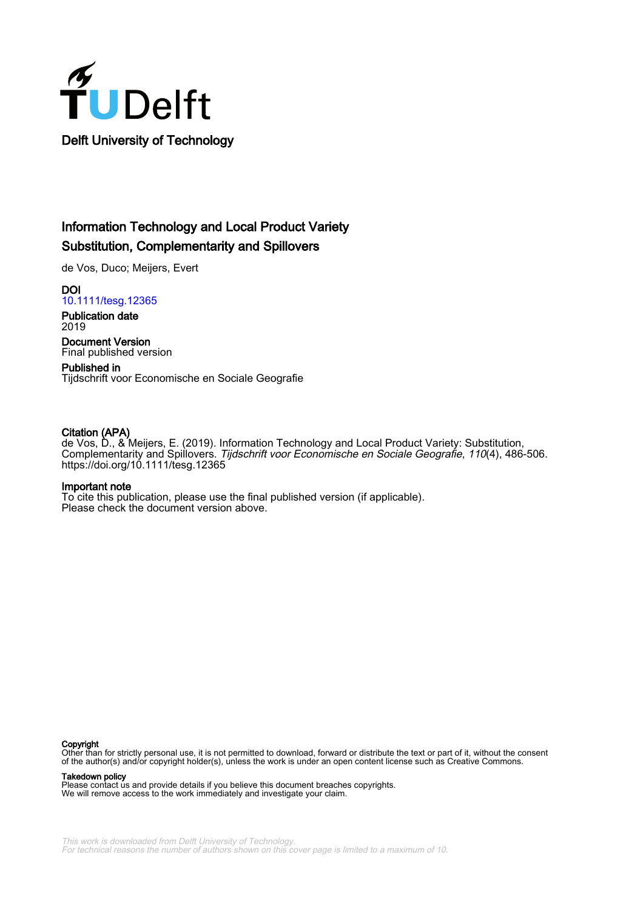

# Information Technology and Local Product Variety Substitution, Complementarity and Spillovers

de Vos, Duco; Meijers, Evert

DOI [10.1111/tesg.12365](https://doi.org/10.1111/tesg.12365)

Publication date 2019

Document Version Final published version

Published in Tijdschrift voor Economische en Sociale Geografie

# Citation (APA)

de Vos, D., & Meijers, E. (2019). Information Technology and Local Product Variety: Substitution, Complementarity and Spillovers. Tijdschrift voor Economische en Sociale Geografie, 110(4), 486-506. <https://doi.org/10.1111/tesg.12365>

# Important note

To cite this publication, please use the final published version (if applicable). Please check the document version above.

#### Copyright

Other than for strictly personal use, it is not permitted to download, forward or distribute the text or part of it, without the consent of the author(s) and/or copyright holder(s), unless the work is under an open content license such as Creative Commons.

Takedown policy

Please contact us and provide details if you believe this document breaches copyrights. We will remove access to the work immediately and investigate your claim.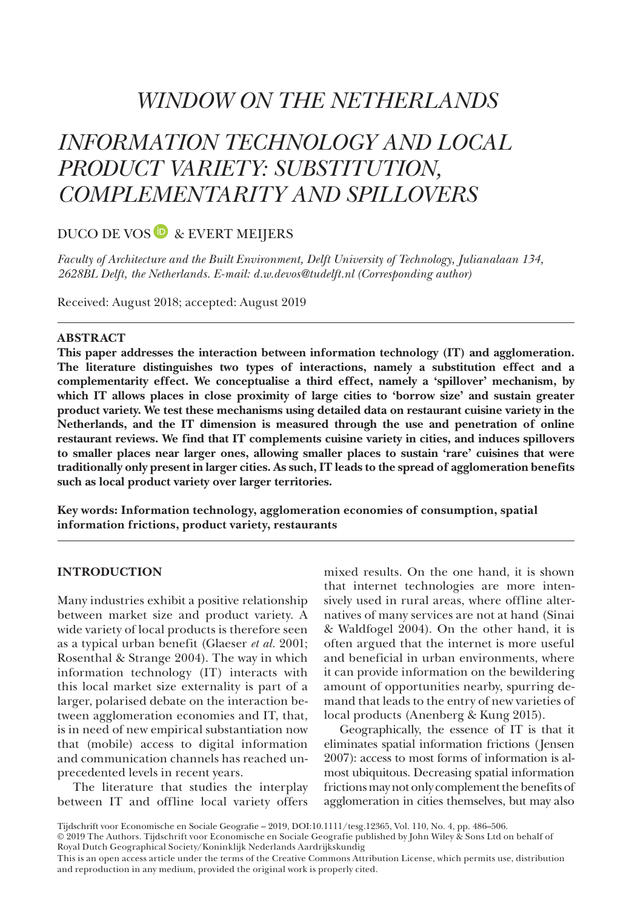# *WINDOW ON THE NETHERLANDS*

# *INFORMATION TECHNOLOGY AND LOCAL PRODUCT VARIETY: SUBSTITUTION, COMPLEMENTARITY AND SPILLOVERS*

DUCO DE VOS<sup>D</sup> & EVERT MEIJERS

*Faculty of Architecture and the Built Environment, Delft University of Technology, Julianalaan 134, 2628BL Delft, the Netherlands. E-mail: [d.w.devos@tudelft.nl](mailto:d.w.devos@tudelft.nl) (Corresponding author)*

Received: August 2018; accepted: August 2019

#### **ABSTRACT**

**This paper addresses the interaction between information technology (IT) and agglomeration. The literature distinguishes two types of interactions, namely a substitution effect and a complementarity effect. We conceptualise a third effect, namely a 'spillover' mechanism, by which IT allows places in close proximity of large cities to 'borrow size' and sustain greater product variety. We test these mechanisms using detailed data on restaurant cuisine variety in the Netherlands, and the IT dimension is measured through the use and penetration of online restaurant reviews. We find that IT complements cuisine variety in cities, and induces spillovers to smaller places near larger ones, allowing smaller places to sustain 'rare' cuisines that were traditionally only present in larger cities. As such, IT leads to the spread of agglomeration benefits such as local product variety over larger territories.**

**Key words: Information technology, agglomeration economies of consumption, spatial information frictions, product variety, restaurants**

#### **INTRODUCTION**

Many industries exhibit a positive relationship between market size and product variety. A wide variety of local products is therefore seen as a typical urban benefit (Glaeser *et al.* 2001; Rosenthal & Strange 2004). The way in which information technology (IT) interacts with this local market size externality is part of a larger, polarised debate on the interaction between agglomeration economies and IT, that, is in need of new empirical substantiation now that (mobile) access to digital information and communication channels has reached unprecedented levels in recent years.

The literature that studies the interplay between IT and offline local variety offers

mixed results. On the one hand, it is shown that internet technologies are more intensively used in rural areas, where offline alternatives of many services are not at hand (Sinai & Waldfogel 2004). On the other hand, it is often argued that the internet is more useful and beneficial in urban environments, where it can provide information on the bewildering amount of opportunities nearby, spurring demand that leads to the entry of new varieties of local products (Anenberg & Kung 2015).

Geographically, the essence of IT is that it eliminates spatial information frictions (Jensen 2007): access to most forms of information is almost ubiquitous. Decreasing spatial information frictions may not only complement the benefits of agglomeration in cities themselves, but may also

Tijdschrift voor Economische en Sociale Geografie – 2019, DOI:10.1111/tesg.12365, Vol. 110, No. 4, pp. 486–506. © 2019 The Authors. Tijdschrift voor Economische en Sociale Geografie published by John Wiley & Sons Ltd on behalf of Royal Dutch Geographical Society/Koninklijk Nederlands Aardrijkskundig

This is an open access article under the terms of the [Creative Commons Attribution](http://creativecommons.org/licenses/by/4.0/) License, which permits use, distribution and reproduction in any medium, provided the original work is properly cited.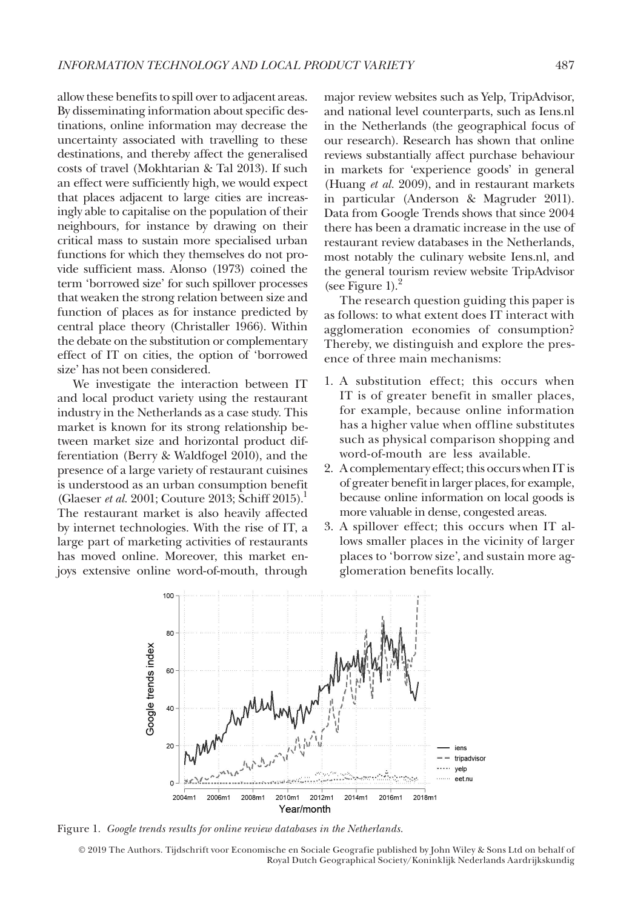allow these benefits to spill over to adjacent areas. By disseminating information about specific destinations, online information may decrease the uncertainty associated with travelling to these destinations, and thereby affect the generalised costs of travel (Mokhtarian & Tal 2013). If such an effect were sufficiently high, we would expect that places adjacent to large cities are increasingly able to capitalise on the population of their neighbours, for instance by drawing on their critical mass to sustain more specialised urban functions for which they themselves do not provide sufficient mass. Alonso (1973) coined the term 'borrowed size' for such spillover processes that weaken the strong relation between size and function of places as for instance predicted by central place theory (Christaller 1966). Within the debate on the substitution or complementary effect of IT on cities, the option of 'borrowed size' has not been considered.

We investigate the interaction between IT and local product variety using the restaurant industry in the Netherlands as a case study. This market is known for its strong relationship between market size and horizontal product differentiation (Berry & Waldfogel 2010), and the presence of a large variety of restaurant cuisines is understood as an urban consumption benefit (Glaeser *et al*. 2001; Couture 2013; Schiff 2015).1 The restaurant market is also heavily affected by internet technologies. With the rise of IT, a large part of marketing activities of restaurants has moved online. Moreover, this market enjoys extensive online word-of-mouth, through

major review websites such as Yelp, TripAdvisor, and national level counterparts, such as Iens.nl in the Netherlands (the geographical focus of our research). Research has shown that online reviews substantially affect purchase behaviour in markets for 'experience goods' in general (Huang *et al.* 2009), and in restaurant markets in particular (Anderson & Magruder 2011). Data from Google Trends shows that since 2004 there has been a dramatic increase in the use of restaurant review databases in the Netherlands, most notably the culinary website Iens.nl, and the general tourism review website TripAdvisor (see Figure 1). $<sup>2</sup>$ </sup>

The research question guiding this paper is as follows: to what extent does IT interact with agglomeration economies of consumption? Thereby, we distinguish and explore the presence of three main mechanisms:

- 1. A substitution effect; this occurs when IT is of greater benefit in smaller places, for example, because online information has a higher value when offline substitutes such as physical comparison shopping and word-of-mouth are less available.
- 2. A complementary effect; this occurs when IT is of greater benefit in larger places, for example, because online information on local goods is more valuable in dense, congested areas.
- 3. A spillover effect; this occurs when IT allows smaller places in the vicinity of larger places to 'borrow size', and sustain more agglomeration benefits locally.



Figure 1*. Google trends results for online review databases in the Netherlands.*

<sup>© 2019</sup> The Authors. Tijdschrift voor Economische en Sociale Geografie published by John Wiley & Sons Ltd on behalf of Royal Dutch Geographical Society/Koninklijk Nederlands Aardrijkskundig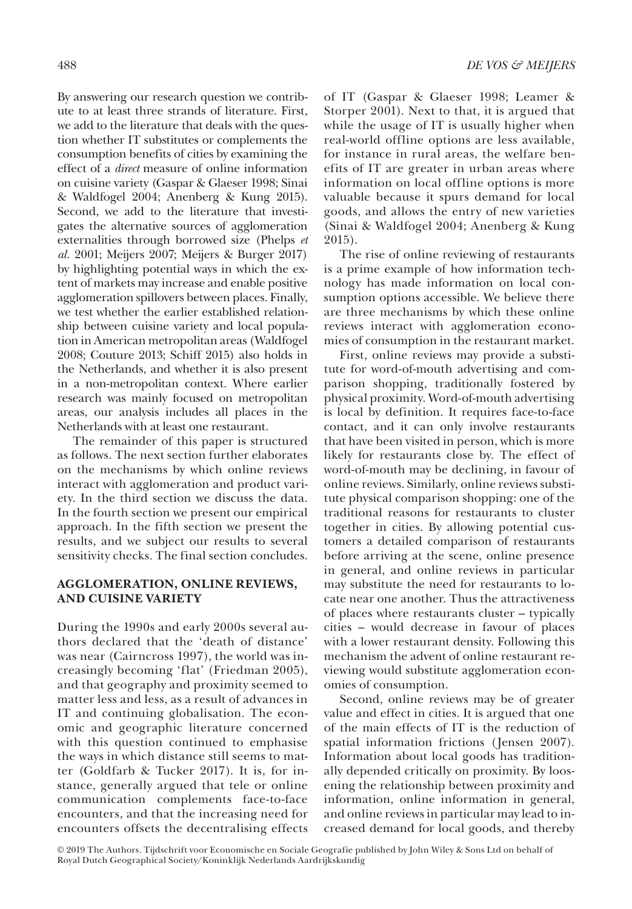By answering our research question we contribute to at least three strands of literature. First, we add to the literature that deals with the question whether IT substitutes or complements the consumption benefits of cities by examining the effect of a *direct* measure of online information on cuisine variety (Gaspar & Glaeser 1998; Sinai & Waldfogel 2004; Anenberg & Kung 2015). Second, we add to the literature that investigates the alternative sources of agglomeration externalities through borrowed size (Phelps *et al.* 2001; Meijers 2007; Meijers & Burger 2017) by highlighting potential ways in which the extent of markets may increase and enable positive agglomeration spillovers between places. Finally, we test whether the earlier established relationship between cuisine variety and local population in American metropolitan areas (Waldfogel 2008; Couture 2013; Schiff 2015) also holds in the Netherlands, and whether it is also present in a non-metropolitan context. Where earlier research was mainly focused on metropolitan areas, our analysis includes all places in the Netherlands with at least one restaurant.

The remainder of this paper is structured as follows. The next section further elaborates on the mechanisms by which online reviews interact with agglomeration and product variety. In the third section we discuss the data. In the fourth section we present our empirical approach. In the fifth section we present the results, and we subject our results to several sensitivity checks. The final section concludes.

#### **AGGLOMERATION, ONLINE REVIEWS, AND CUISINE VARIETY**

During the 1990s and early 2000s several authors declared that the 'death of distance' was near (Cairncross 1997), the world was increasingly becoming 'flat' (Friedman 2005), and that geography and proximity seemed to matter less and less, as a result of advances in IT and continuing globalisation. The economic and geographic literature concerned with this question continued to emphasise the ways in which distance still seems to matter (Goldfarb & Tucker 2017). It is, for instance, generally argued that tele or online communication complements face-to-face encounters, and that the increasing need for encounters offsets the decentralising effects

of IT (Gaspar & Glaeser 1998; Leamer & Storper 2001). Next to that, it is argued that while the usage of IT is usually higher when real-world offline options are less available, for instance in rural areas, the welfare benefits of IT are greater in urban areas where information on local offline options is more valuable because it spurs demand for local goods, and allows the entry of new varieties (Sinai & Waldfogel 2004; Anenberg & Kung 2015).

The rise of online reviewing of restaurants is a prime example of how information technology has made information on local consumption options accessible. We believe there are three mechanisms by which these online reviews interact with agglomeration economies of consumption in the restaurant market.

First, online reviews may provide a substitute for word-of-mouth advertising and comparison shopping, traditionally fostered by physical proximity. Word-of-mouth advertising is local by definition. It requires face-to-face contact, and it can only involve restaurants that have been visited in person, which is more likely for restaurants close by. The effect of word-of-mouth may be declining, in favour of online reviews. Similarly, online reviews substitute physical comparison shopping: one of the traditional reasons for restaurants to cluster together in cities. By allowing potential customers a detailed comparison of restaurants before arriving at the scene, online presence in general, and online reviews in particular may substitute the need for restaurants to locate near one another. Thus the attractiveness of places where restaurants cluster – typically cities – would decrease in favour of places with a lower restaurant density. Following this mechanism the advent of online restaurant reviewing would substitute agglomeration economies of consumption.

Second, online reviews may be of greater value and effect in cities. It is argued that one of the main effects of IT is the reduction of spatial information frictions (Jensen 2007). Information about local goods has traditionally depended critically on proximity. By loosening the relationship between proximity and information, online information in general, and online reviews in particular may lead to increased demand for local goods, and thereby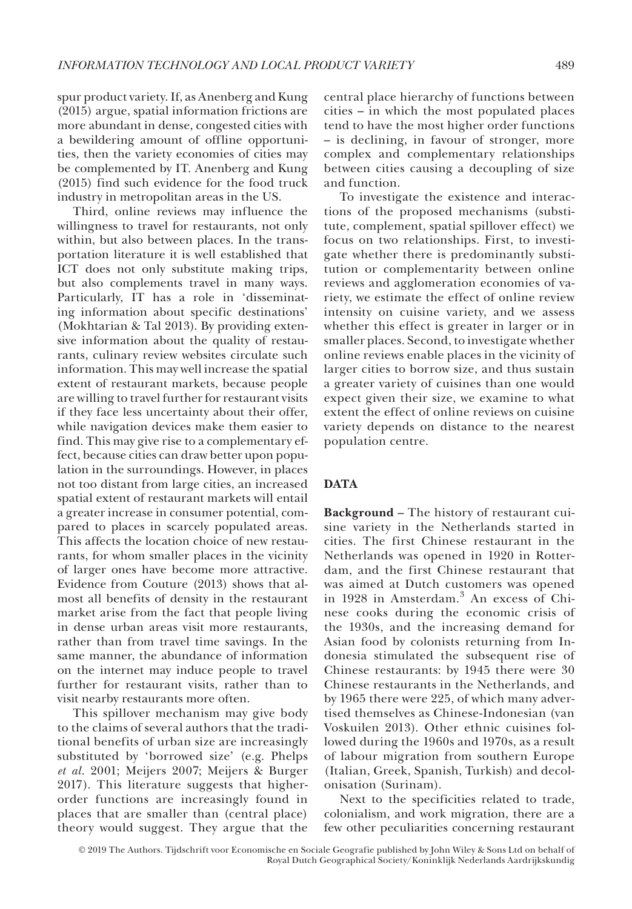spur product variety. If, as Anenberg and Kung (2015) argue, spatial information frictions are more abundant in dense, congested cities with a bewildering amount of offline opportunities, then the variety economies of cities may be complemented by IT. Anenberg and Kung (2015) find such evidence for the food truck industry in metropolitan areas in the US.

Third, online reviews may influence the willingness to travel for restaurants, not only within, but also between places. In the transportation literature it is well established that ICT does not only substitute making trips, but also complements travel in many ways. Particularly, IT has a role in 'disseminating information about specific destinations' (Mokhtarian & Tal 2013). By providing extensive information about the quality of restaurants, culinary review websites circulate such information. This may well increase the spatial extent of restaurant markets, because people are willing to travel further for restaurant visits if they face less uncertainty about their offer, while navigation devices make them easier to find. This may give rise to a complementary effect, because cities can draw better upon population in the surroundings. However, in places not too distant from large cities, an increased spatial extent of restaurant markets will entail a greater increase in consumer potential, compared to places in scarcely populated areas. This affects the location choice of new restaurants, for whom smaller places in the vicinity of larger ones have become more attractive. Evidence from Couture (2013) shows that almost all benefits of density in the restaurant market arise from the fact that people living in dense urban areas visit more restaurants, rather than from travel time savings. In the same manner, the abundance of information on the internet may induce people to travel further for restaurant visits, rather than to visit nearby restaurants more often.

This spillover mechanism may give body to the claims of several authors that the traditional benefits of urban size are increasingly substituted by 'borrowed size' (e.g. Phelps *et al.* 2001; Meijers 2007; Meijers & Burger 2017). This literature suggests that higherorder functions are increasingly found in places that are smaller than (central place) theory would suggest. They argue that the central place hierarchy of functions between cities – in which the most populated places tend to have the most higher order functions – is declining, in favour of stronger, more complex and complementary relationships between cities causing a decoupling of size and function.

To investigate the existence and interactions of the proposed mechanisms (substitute, complement, spatial spillover effect) we focus on two relationships. First, to investigate whether there is predominantly substitution or complementarity between online reviews and agglomeration economies of variety, we estimate the effect of online review intensity on cuisine variety, and we assess whether this effect is greater in larger or in smaller places. Second, to investigate whether online reviews enable places in the vicinity of larger cities to borrow size, and thus sustain a greater variety of cuisines than one would expect given their size, we examine to what extent the effect of online reviews on cuisine variety depends on distance to the nearest population centre.

# **DATA**

**Background** – The history of restaurant cuisine variety in the Netherlands started in cities. The first Chinese restaurant in the Netherlands was opened in 1920 in Rotterdam, and the first Chinese restaurant that was aimed at Dutch customers was opened in 1928 in Amsterdam.<sup>3</sup> An excess of Chinese cooks during the economic crisis of the 1930s, and the increasing demand for Asian food by colonists returning from Indonesia stimulated the subsequent rise of Chinese restaurants: by 1945 there were 30 Chinese restaurants in the Netherlands, and by 1965 there were 225, of which many advertised themselves as Chinese-Indonesian (van Voskuilen 2013). Other ethnic cuisines followed during the 1960s and 1970s, as a result of labour migration from southern Europe (Italian, Greek, Spanish, Turkish) and decolonisation (Surinam).

Next to the specificities related to trade, colonialism, and work migration, there are a few other peculiarities concerning restaurant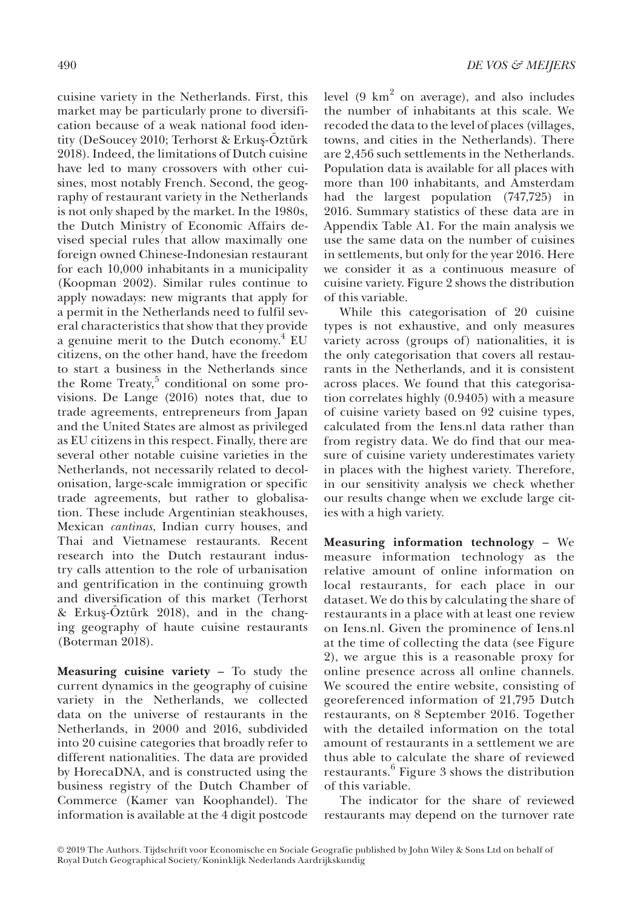cuisine variety in the Netherlands. First, this market may be particularly prone to diversification because of a weak national food identity (DeSoucey 2010; Terhorst & Erkuş-Öztürk 2018). Indeed, the limitations of Dutch cuisine have led to many crossovers with other cuisines, most notably French. Second, the geography of restaurant variety in the Netherlands is not only shaped by the market. In the 1980s, the Dutch Ministry of Economic Affairs devised special rules that allow maximally one foreign owned Chinese-Indonesian restaurant for each 10,000 inhabitants in a municipality (Koopman 2002). Similar rules continue to apply nowadays: new migrants that apply for a permit in the Netherlands need to fulfil several characteristics that show that they provide a genuine merit to the Dutch economy.<sup>4</sup> EU citizens, on the other hand, have the freedom to start a business in the Netherlands since the Rome Treaty,<sup>5</sup> conditional on some provisions. De Lange (2016) notes that, due to trade agreements, entrepreneurs from Japan and the United States are almost as privileged as EU citizens in this respect. Finally, there are several other notable cuisine varieties in the Netherlands, not necessarily related to decolonisation, large-scale immigration or specific trade agreements, but rather to globalisation. These include Argentinian steakhouses, Mexican *cantinas*, Indian curry houses, and Thai and Vietnamese restaurants. Recent research into the Dutch restaurant industry calls attention to the role of urbanisation and gentrification in the continuing growth and diversification of this market (Terhorst & Erkuş-Öztürk 2018), and in the changing geography of haute cuisine restaurants (Boterman 2018).

**Measuring cuisine variety** – To study the current dynamics in the geography of cuisine variety in the Netherlands, we collected data on the universe of restaurants in the Netherlands, in 2000 and 2016, subdivided into 20 cuisine categories that broadly refer to different nationalities. The data are provided by HorecaDNA, and is constructed using the business registry of the Dutch Chamber of Commerce (Kamer van Koophandel). The information is available at the 4 digit postcode

level  $(9 \text{ km}^2 \text{ on average})$ , and also includes the number of inhabitants at this scale. We recoded the data to the level of places (villages, towns, and cities in the Netherlands). There are 2,456 such settlements in the Netherlands. Population data is available for all places with more than 100 inhabitants, and Amsterdam had the largest population (747,725) in 2016. Summary statistics of these data are in Appendix Table A1. For the main analysis we use the same data on the number of cuisines in settlements, but only for the year 2016. Here we consider it as a continuous measure of cuisine variety. Figure 2 shows the distribution of this variable.

While this categorisation of 20 cuisine types is not exhaustive, and only measures variety across (groups of) nationalities, it is the only categorisation that covers all restaurants in the Netherlands, and it is consistent across places. We found that this categorisation correlates highly (0.9405) with a measure of cuisine variety based on 92 cuisine types, calculated from the Iens.nl data rather than from registry data. We do find that our measure of cuisine variety underestimates variety in places with the highest variety. Therefore, in our sensitivity analysis we check whether our results change when we exclude large cities with a high variety.

**Measuring information technology** – We measure information technology as the relative amount of online information on local restaurants, for each place in our dataset. We do this by calculating the share of restaurants in a place with at least one review on Iens.nl. Given the prominence of Iens.nl at the time of collecting the data (see Figure 2), we argue this is a reasonable proxy for online presence across all online channels. We scoured the entire website, consisting of georeferenced information of 21,795 Dutch restaurants, on 8 September 2016. Together with the detailed information on the total amount of restaurants in a settlement we are thus able to calculate the share of reviewed restaurants.<sup>6</sup> Figure 3 shows the distribution of this variable.

The indicator for the share of reviewed restaurants may depend on the turnover rate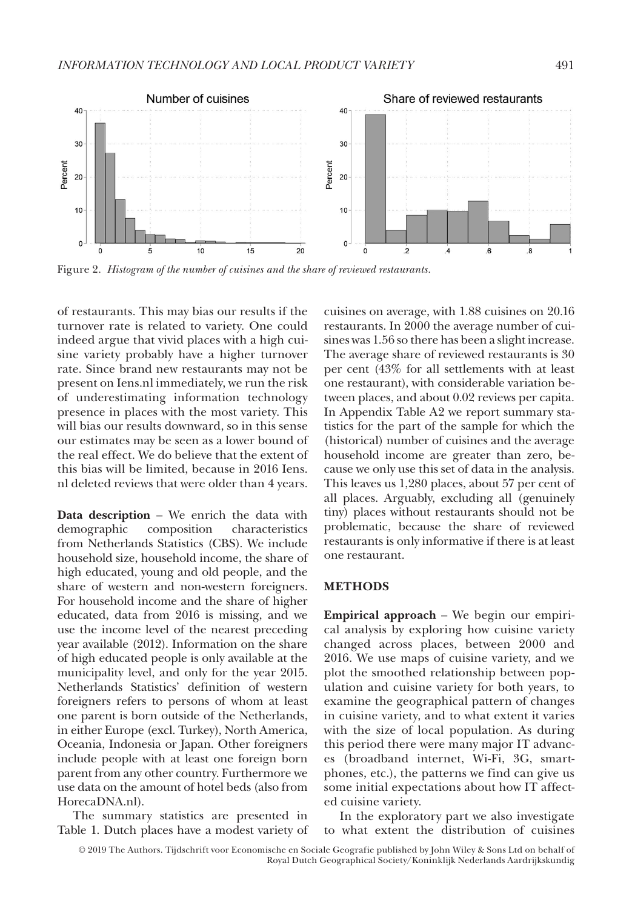

Figure 2*. Histogram of the number of cuisines and the share of reviewed restaurants.*

of restaurants. This may bias our results if the turnover rate is related to variety. One could indeed argue that vivid places with a high cuisine variety probably have a higher turnover rate. Since brand new restaurants may not be present on Iens.nl immediately, we run the risk of underestimating information technology presence in places with the most variety. This will bias our results downward, so in this sense our estimates may be seen as a lower bound of the real effect. We do believe that the extent of this bias will be limited, because in 2016 Iens. nl deleted reviews that were older than 4 years.

**Data description** – We enrich the data with demographic composition characteristics from Netherlands Statistics (CBS). We include household size, household income, the share of high educated, young and old people, and the share of western and non-western foreigners. For household income and the share of higher educated, data from 2016 is missing, and we use the income level of the nearest preceding year available (2012). Information on the share of high educated people is only available at the municipality level, and only for the year 2015. Netherlands Statistics' definition of western foreigners refers to persons of whom at least one parent is born outside of the Netherlands, in either Europe (excl. Turkey), North America, Oceania, Indonesia or Japan. Other foreigners include people with at least one foreign born parent from any other country. Furthermore we use data on the amount of hotel beds (also from HorecaDNA.nl).

The summary statistics are presented in Table 1. Dutch places have a modest variety of cuisines on average, with 1.88 cuisines on 20.16 restaurants. In 2000 the average number of cuisines was 1.56 so there has been a slight increase. The average share of reviewed restaurants is 30 per cent (43% for all settlements with at least one restaurant), with considerable variation between places, and about 0.02 reviews per capita. In Appendix Table A2 we report summary statistics for the part of the sample for which the (historical) number of cuisines and the average household income are greater than zero, because we only use this set of data in the analysis. This leaves us 1,280 places, about 57 per cent of all places. Arguably, excluding all (genuinely tiny) places without restaurants should not be problematic, because the share of reviewed restaurants is only informative if there is at least one restaurant.

#### **METHODS**

**Empirical approach** – We begin our empirical analysis by exploring how cuisine variety changed across places, between 2000 and 2016. We use maps of cuisine variety, and we plot the smoothed relationship between population and cuisine variety for both years, to examine the geographical pattern of changes in cuisine variety, and to what extent it varies with the size of local population. As during this period there were many major IT advances (broadband internet, Wi-Fi, 3G, smartphones, etc.), the patterns we find can give us some initial expectations about how IT affected cuisine variety.

In the exploratory part we also investigate to what extent the distribution of cuisines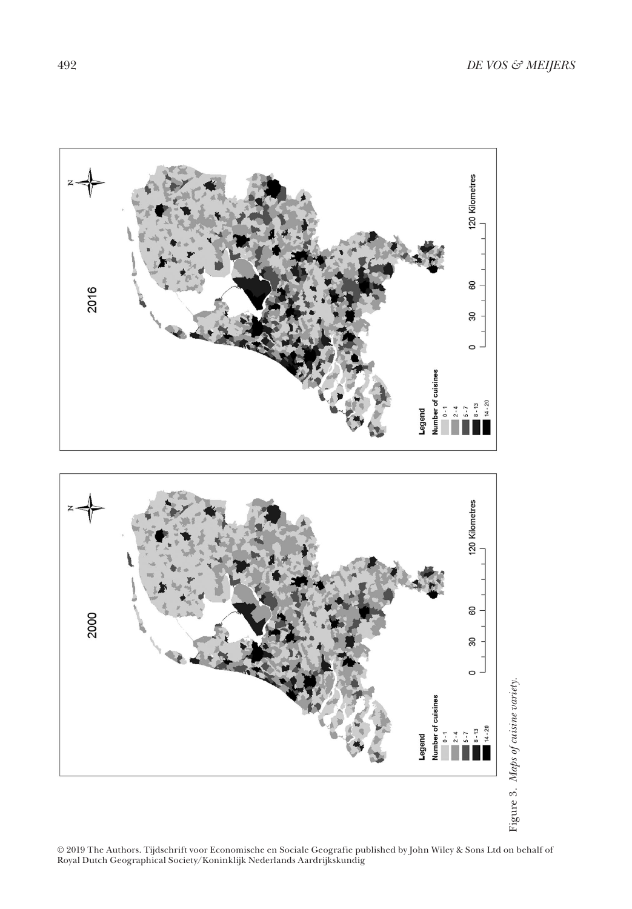

© 2019 The Authors. Tijdschrift voor Economische en Sociale Geografie published by John Wiley & Sons Ltd on behalf of Royal Dutch Geographical Society/Koninklijk Nederlands Aardrijkskundig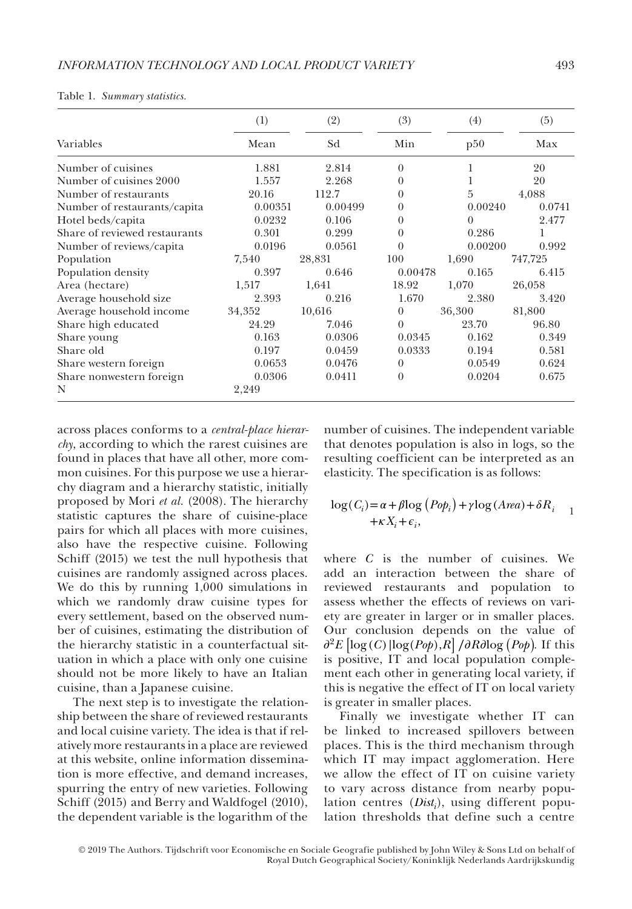|                               | (1)             | (2)     | (3)      | (4)      | (5)     |
|-------------------------------|-----------------|---------|----------|----------|---------|
| Variables                     | Mean            | Sd      | Min      | p50      | Max     |
| Number of cuisines            | 1.881           | 2.814   | $\Omega$ |          | 20      |
| Number of cuisines 2000       | 1.557           | 2.268   | $\Omega$ |          | 20      |
| Number of restaurants         | 20.16           | 112.7   | $\Omega$ | 5        | 4,088   |
| Number of restaurants/capita  | 0.00351         | 0.00499 | $\Omega$ | 0.00240  | 0.0741  |
| Hotel beds/capita             | 0.0232          | 0.106   | $\Omega$ | $\Omega$ | 2.477   |
| Share of reviewed restaurants | 0.301           | 0.299   | $\Omega$ | 0.286    | 1       |
| Number of reviews/capita      | 0.0196          | 0.0561  | $\Omega$ | 0.00200  | 0.992   |
| Population                    | 7,540           | 28,831  | 100      | 1,690    | 747,725 |
| Population density            | 0.397           | 0.646   | 0.00478  | 0.165    | 6.415   |
| Area (hectare)                | 1,517           | 1,641   | 18.92    | 1,070    | 26,058  |
| Average household size        | 2.393           | 0.216   | 1.670    | 2.380    | 3.420   |
| Average household income      | 34,352          | 10,616  | $\Omega$ | 36,300   | 81,800  |
| Share high educated           | 24.29           | 7.046   | $\Omega$ | 23.70    | 96.80   |
| Share young                   | 0.163           | 0.0306  | 0.0345   | 0.162    | 0.349   |
| Share old                     | 0.197           | 0.0459  | 0.0333   | 0.194    | 0.581   |
| Share western foreign         | 0.0653          | 0.0476  | $\Omega$ | 0.0549   | 0.624   |
| Share nonwestern foreign<br>N | 0.0306<br>2,249 | 0.0411  | $\Omega$ | 0.0204   | 0.675   |

Table 1. *Summary statistics.*

across places conforms to a *central-place hierarchy*, according to which the rarest cuisines are found in places that have all other, more common cuisines. For this purpose we use a hierarchy diagram and a hierarchy statistic, initially proposed by Mori *et al*. (2008). The hierarchy statistic captures the share of cuisine-place pairs for which all places with more cuisines, also have the respective cuisine. Following Schiff (2015) we test the null hypothesis that cuisines are randomly assigned across places. We do this by running 1,000 simulations in which we randomly draw cuisine types for every settlement, based on the observed number of cuisines, estimating the distribution of the hierarchy statistic in a counterfactual situation in which a place with only one cuisine should not be more likely to have an Italian cuisine, than a Japanese cuisine.

The next step is to investigate the relationship between the share of reviewed restaurants and local cuisine variety. The idea is that if relatively more restaurants in a place are reviewed at this website, online information dissemination is more effective, and demand increases, spurring the entry of new varieties. Following Schiff (2015) and Berry and Waldfogel (2010), the dependent variable is the logarithm of the

number of cuisines. The independent variable that denotes population is also in logs, so the resulting coefficient can be interpreted as an elasticity. The specification is as follows:

$$
\log(C_i) = \alpha + \beta \log (P \circ p_i) + \gamma \log (Area) + \delta R_i
$$
  
+ $\kappa X_i + \epsilon_i$ ,

where *C* is the number of cuisines. We add an interaction between the share of reviewed restaurants and population to assess whether the effects of reviews on variety are greater in larger or in smaller places. Our conclusion depends on the value of  $\frac{\partial^2 E}{\partial \phi^2}$  [log(*C*)|log(*Pop*),*R*|  $\frac{\partial R}{\partial \phi}$  (*Pop*). If this is positive, IT and local population complement each other in generating local variety, if this is negative the effect of IT on local variety is greater in smaller places.

Finally we investigate whether IT can be linked to increased spillovers between places. This is the third mechanism through which IT may impact agglomeration. Here we allow the effect of IT on cuisine variety to vary across distance from nearby population centres (*Dist<sub>i</sub>*), using different population thresholds that define such a centre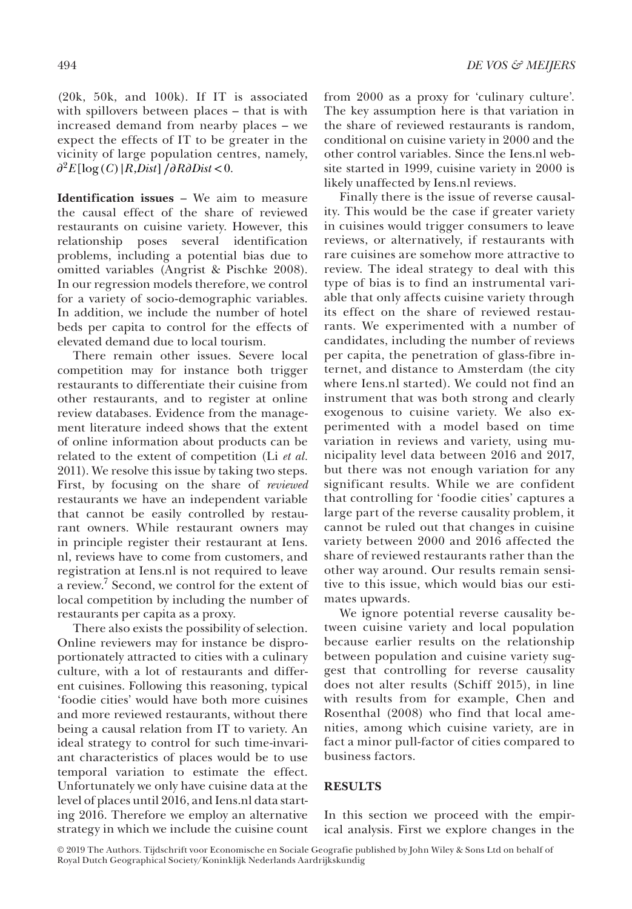(20k, 50k, and 100k). If IT is associated with spillovers between places – that is with increased demand from nearby places – we expect the effects of IT to be greater in the vicinity of large population centres, namely,  $\partial^2 E[\log(C)|R, Dist]/\partial R \partial Dist$  < 0.

**Identification issues** – We aim to measure the causal effect of the share of reviewed restaurants on cuisine variety. However, this relationship poses several identification problems, including a potential bias due to omitted variables (Angrist & Pischke 2008). In our regression models therefore, we control for a variety of socio-demographic variables. In addition, we include the number of hotel beds per capita to control for the effects of elevated demand due to local tourism.

There remain other issues. Severe local competition may for instance both trigger restaurants to differentiate their cuisine from other restaurants, and to register at online review databases. Evidence from the management literature indeed shows that the extent of online information about products can be related to the extent of competition (Li *et al.* 2011). We resolve this issue by taking two steps. First, by focusing on the share of *reviewed* restaurants we have an independent variable that cannot be easily controlled by restaurant owners. While restaurant owners may in principle register their restaurant at Iens. nl, reviews have to come from customers, and registration at Iens.nl is not required to leave a review.<sup>7</sup> Second, we control for the extent of local competition by including the number of restaurants per capita as a proxy.

There also exists the possibility of selection. Online reviewers may for instance be disproportionately attracted to cities with a culinary culture, with a lot of restaurants and different cuisines. Following this reasoning, typical 'foodie cities' would have both more cuisines and more reviewed restaurants, without there being a causal relation from IT to variety. An ideal strategy to control for such time-invariant characteristics of places would be to use temporal variation to estimate the effect. Unfortunately we only have cuisine data at the level of places until 2016, and Iens.nl data starting 2016. Therefore we employ an alternative strategy in which we include the cuisine count from 2000 as a proxy for 'culinary culture'. The key assumption here is that variation in the share of reviewed restaurants is random, conditional on cuisine variety in 2000 and the other control variables. Since the Iens.nl website started in 1999, cuisine variety in 2000 is likely unaffected by Iens.nl reviews.

Finally there is the issue of reverse causality. This would be the case if greater variety in cuisines would trigger consumers to leave reviews, or alternatively, if restaurants with rare cuisines are somehow more attractive to review. The ideal strategy to deal with this type of bias is to find an instrumental variable that only affects cuisine variety through its effect on the share of reviewed restaurants. We experimented with a number of candidates, including the number of reviews per capita, the penetration of glass-fibre internet, and distance to Amsterdam (the city where Iens.nl started). We could not find an instrument that was both strong and clearly exogenous to cuisine variety. We also experimented with a model based on time variation in reviews and variety, using municipality level data between 2016 and 2017, but there was not enough variation for any significant results. While we are confident that controlling for 'foodie cities' captures a large part of the reverse causality problem, it cannot be ruled out that changes in cuisine variety between 2000 and 2016 affected the share of reviewed restaurants rather than the other way around. Our results remain sensitive to this issue, which would bias our estimates upwards.

We ignore potential reverse causality between cuisine variety and local population because earlier results on the relationship between population and cuisine variety suggest that controlling for reverse causality does not alter results (Schiff 2015), in line with results from for example, Chen and Rosenthal (2008) who find that local amenities, among which cuisine variety, are in fact a minor pull-factor of cities compared to business factors.

## **RESULTS**

In this section we proceed with the empirical analysis. First we explore changes in the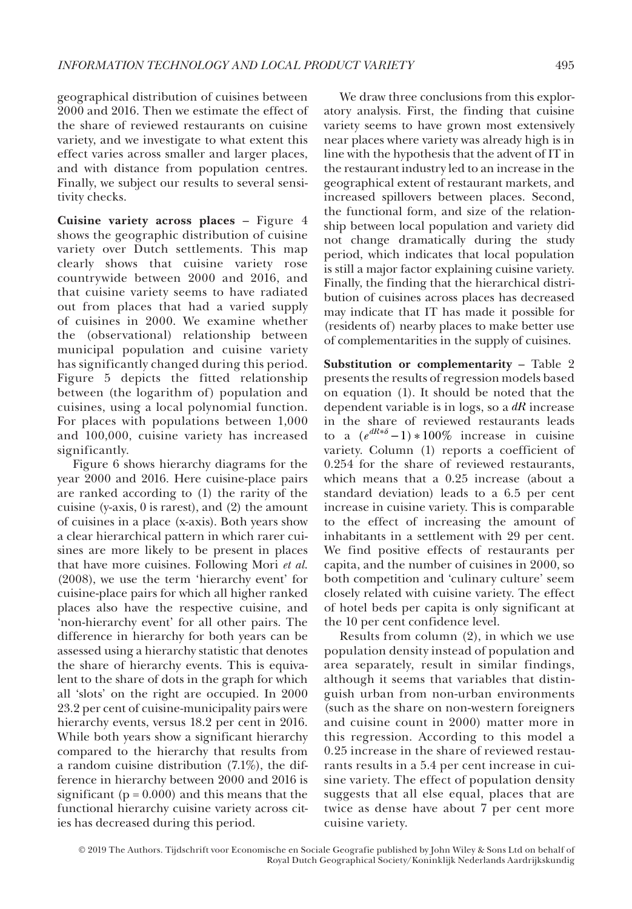geographical distribution of cuisines between 2000 and 2016. Then we estimate the effect of the share of reviewed restaurants on cuisine variety, and we investigate to what extent this effect varies across smaller and larger places, and with distance from population centres. Finally, we subject our results to several sensitivity checks.

**Cuisine variety across places** – Figure 4 shows the geographic distribution of cuisine variety over Dutch settlements. This map clearly shows that cuisine variety rose countrywide between 2000 and 2016, and that cuisine variety seems to have radiated out from places that had a varied supply of cuisines in 2000. We examine whether the (observational) relationship between municipal population and cuisine variety has significantly changed during this period. Figure 5 depicts the fitted relationship between (the logarithm of) population and cuisines, using a local polynomial function. For places with populations between 1,000 and 100,000, cuisine variety has increased significantly.

Figure 6 shows hierarchy diagrams for the year 2000 and 2016. Here cuisine-place pairs are ranked according to (1) the rarity of the cuisine (y-axis, 0 is rarest), and (2) the amount of cuisines in a place (x-axis). Both years show a clear hierarchical pattern in which rarer cuisines are more likely to be present in places that have more cuisines. Following Mori *et al*. (2008), we use the term 'hierarchy event' for cuisine-place pairs for which all higher ranked places also have the respective cuisine, and 'non-hierarchy event' for all other pairs. The difference in hierarchy for both years can be assessed using a hierarchy statistic that denotes the share of hierarchy events. This is equivalent to the share of dots in the graph for which all 'slots' on the right are occupied. In 2000 23.2 per cent of cuisine-municipality pairs were hierarchy events, versus 18.2 per cent in 2016. While both years show a significant hierarchy compared to the hierarchy that results from a random cuisine distribution (7.1%), the difference in hierarchy between 2000 and 2016 is significant ( $p = 0.000$ ) and this means that the functional hierarchy cuisine variety across cities has decreased during this period.

We draw three conclusions from this exploratory analysis. First, the finding that cuisine variety seems to have grown most extensively near places where variety was already high is in line with the hypothesis that the advent of IT in the restaurant industry led to an increase in the geographical extent of restaurant markets, and increased spillovers between places. Second, the functional form, and size of the relationship between local population and variety did not change dramatically during the study period, which indicates that local population is still a major factor explaining cuisine variety. Finally, the finding that the hierarchical distribution of cuisines across places has decreased may indicate that IT has made it possible for (residents of) nearby places to make better use of complementarities in the supply of cuisines.

**Substitution or complementarity** – Table 2 presents the results of regression models based on equation (1). It should be noted that the dependent variable is in logs, so a *dR* increase in the share of reviewed restaurants leads to a  $(e^{dR*\delta}-1)*100\%$  increase in cuisine variety. Column (1) reports a coefficient of 0.254 for the share of reviewed restaurants, which means that a 0.25 increase (about a standard deviation) leads to a 6.5 per cent increase in cuisine variety. This is comparable to the effect of increasing the amount of inhabitants in a settlement with 29 per cent. We find positive effects of restaurants per capita, and the number of cuisines in 2000, so both competition and 'culinary culture' seem closely related with cuisine variety. The effect of hotel beds per capita is only significant at the 10 per cent confidence level.

Results from column (2), in which we use population density instead of population and area separately, result in similar findings, although it seems that variables that distinguish urban from non-urban environments (such as the share on non-western foreigners and cuisine count in 2000) matter more in this regression. According to this model a 0.25 increase in the share of reviewed restaurants results in a 5.4 per cent increase in cuisine variety. The effect of population density suggests that all else equal, places that are twice as dense have about 7 per cent more cuisine variety.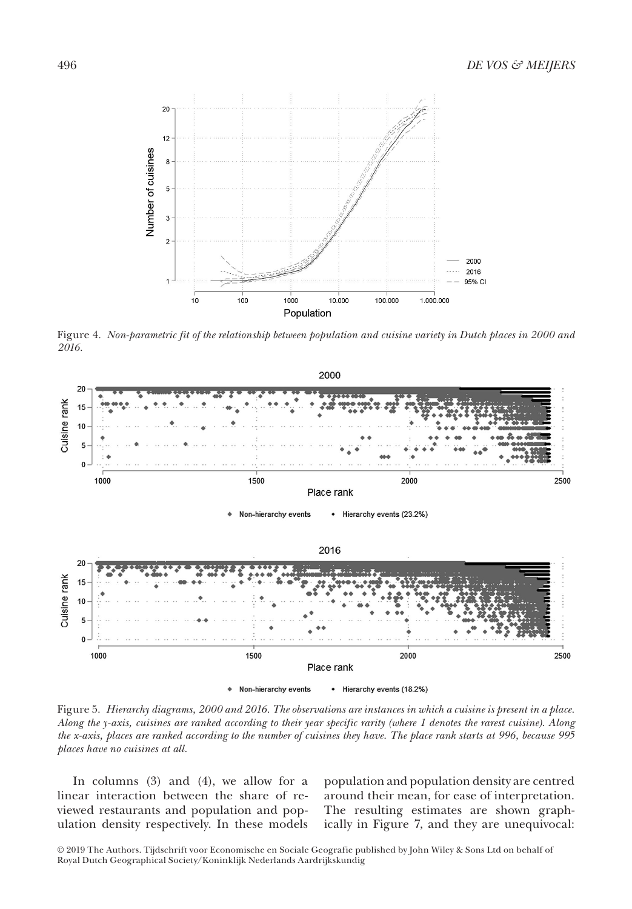

Figure 4*. Non-parametric fit of the relationship between population and cuisine variety in Dutch places in 2000 and 2016.*



Figure 5*. Hierarchy diagrams, 2000 and 2016. The observations are instances in which a cuisine is present in a place. Along the y-axis, cuisines are ranked according to their year specific rarity (where 1 denotes the rarest cuisine). Along the x-axis, places are ranked according to the number of cuisines they have. The place rank starts at 996, because 995 places have no cuisines at all.*

In columns (3) and (4), we allow for a linear interaction between the share of reviewed restaurants and population and population density respectively. In these models

population and population density are centred around their mean, for ease of interpretation. The resulting estimates are shown graphically in Figure 7, and they are unequivocal: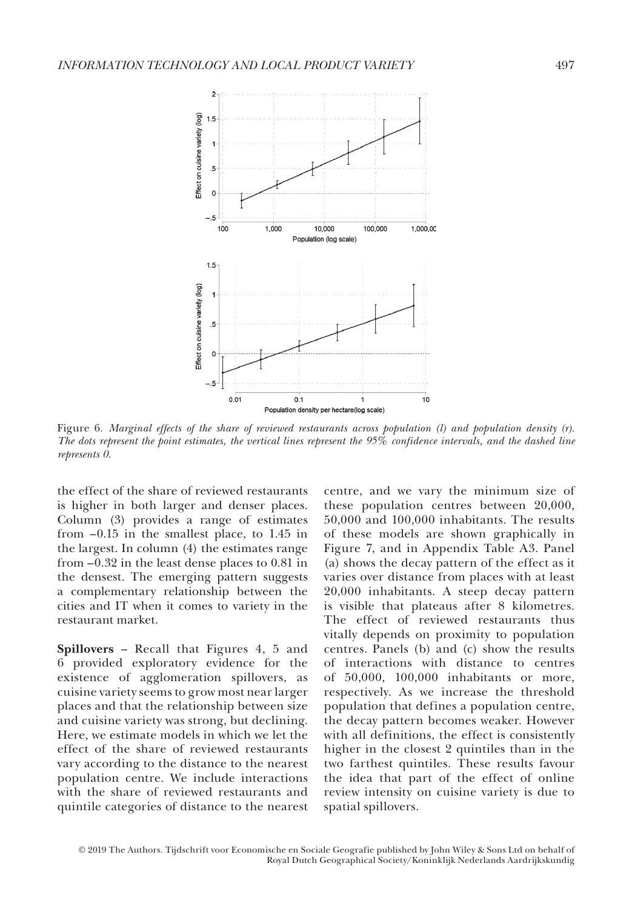

Figure 6*. Marginal effects of the share of reviewed restaurants across population (l) and population density (r). The dots represent the point estimates, the vertical lines represent the 95% confidence intervals, and the dashed line represents 0.*

the effect of the share of reviewed restaurants is higher in both larger and denser places. Column (3) provides a range of estimates from –0.15 in the smallest place, to 1.45 in the largest. In column (4) the estimates range from –0.32 in the least dense places to 0.81 in the densest. The emerging pattern suggests a complementary relationship between the cities and IT when it comes to variety in the restaurant market.

**Spillovers** – Recall that Figures 4, 5 and 6 provided exploratory evidence for the existence of agglomeration spillovers, as cuisine variety seems to grow most near larger places and that the relationship between size and cuisine variety was strong, but declining. Here, we estimate models in which we let the effect of the share of reviewed restaurants vary according to the distance to the nearest population centre. We include interactions with the share of reviewed restaurants and quintile categories of distance to the nearest

centre, and we vary the minimum size of these population centres between 20,000, 50,000 and 100,000 inhabitants. The results of these models are shown graphically in Figure 7, and in Appendix Table A3. Panel (a) shows the decay pattern of the effect as it varies over distance from places with at least 20,000 inhabitants. A steep decay pattern is visible that plateaus after 8 kilometres. The effect of reviewed restaurants thus vitally depends on proximity to population centres. Panels (b) and (c) show the results of interactions with distance to centres of 50,000, 100,000 inhabitants or more, respectively. As we increase the threshold population that defines a population centre, the decay pattern becomes weaker. However with all definitions, the effect is consistently higher in the closest 2 quintiles than in the two farthest quintiles. These results favour the idea that part of the effect of online review intensity on cuisine variety is due to spatial spillovers.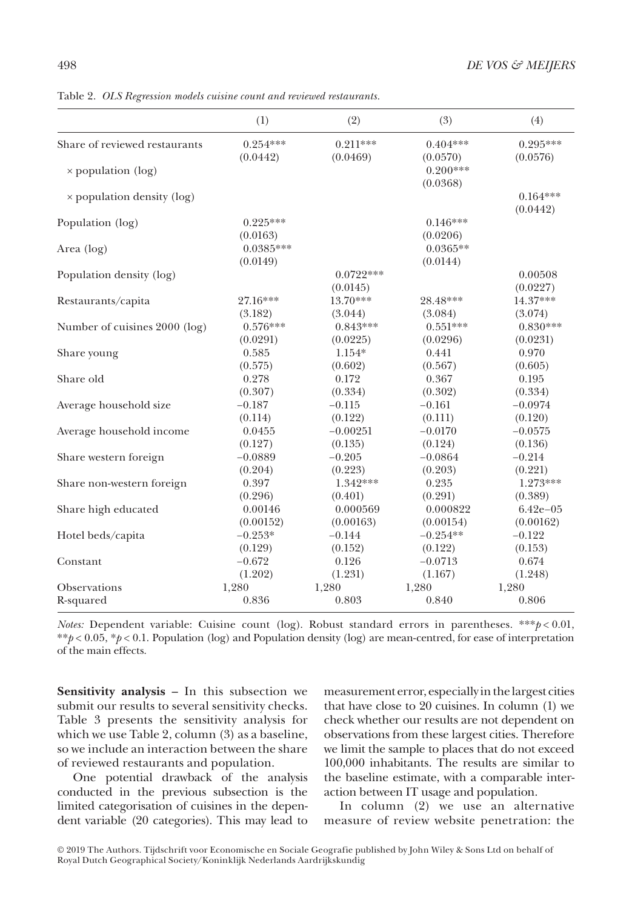|                                   | (1)                     | (2)                     | (3)                    | (4)                    |
|-----------------------------------|-------------------------|-------------------------|------------------------|------------------------|
| Share of reviewed restaurants     | $0.254***$              | $0.211***$              | $0.404***$             | $0.295***$             |
| $\times$ population (log)         | (0.0442)                | (0.0469)                | (0.0570)<br>$0.200***$ | (0.0576)               |
| $\times$ population density (log) |                         |                         | (0.0368)               | $0.164***$<br>(0.0442) |
| Population (log)                  | $0.225***$<br>(0.0163)  |                         | $0.146***$<br>(0.0206) |                        |
| Area (log)                        | $0.0385***$<br>(0.0149) |                         | $0.0365**$<br>(0.0144) |                        |
| Population density (log)          |                         | $0.0722***$<br>(0.0145) |                        | 0.00508<br>(0.0227)    |
| Restaurants/capita                | 27.16***                | 13.70***                | 28.48***               | 14.37***               |
|                                   | (3.182)                 | (3.044)                 | (3.084)                | (3.074)                |
| Number of cuisines 2000 (log)     | $0.576***$              | $0.843***$              | $0.551***$             | $0.830***$             |
|                                   | (0.0291)                | (0.0225)                | (0.0296)               | (0.0231)               |
| Share young                       | 0.585                   | $1.154*$                | 0.441                  | 0.970                  |
|                                   | (0.575)                 | (0.602)                 | (0.567)                | (0.605)                |
| Share old                         | 0.278                   | 0.172                   | 0.367                  | 0.195                  |
|                                   | (0.307)                 | (0.334)                 | (0.302)                | (0.334)                |
| Average household size            | $-0.187$                | $-0.115$                | $-0.161$               | $-0.0974$              |
|                                   | (0.114)                 | (0.122)                 | (0.111)                | (0.120)                |
| Average household income          | 0.0455                  | $-0.00251$              | $-0.0170$              | $-0.0575$              |
|                                   | (0.127)                 | (0.135)                 | (0.124)                | (0.136)                |
| Share western foreign             | $-0.0889$               | $-0.205$                | $-0.0864$              | $-0.214$               |
|                                   | (0.204)                 | (0.223)                 | (0.203)                | (0.221)                |
| Share non-western foreign         | 0.397                   | 1.342***                | 0.235                  | 1.273***               |
|                                   | (0.296)                 | (0.401)                 | (0.291)                | (0.389)                |
| Share high educated               | 0.00146                 | 0.000569                | 0.000822               | $6.42e-0.5$            |
|                                   | (0.00152)               | (0.00163)               | (0.00154)              | (0.00162)              |
| Hotel beds/capita                 | $-0.253*$               | $-0.144$                | $-0.254**$             | $-0.122$               |
|                                   | (0.129)                 | (0.152)                 | (0.122)                | (0.153)                |
| Constant                          | $-0.672$                | 0.126                   | $-0.0713$              | 0.674                  |
|                                   | (1.202)                 | (1.231)                 | (1.167)                | (1.248)                |
| Observations                      | 1,280                   | 1,280                   | 1,280                  | 1,280                  |
| R-squared                         | 0.836                   | 0.803                   | 0.840                  | 0.806                  |

Table 2. *OLS Regression models cuisine count and reviewed restaurants.*

*Notes:* Dependent variable: Cuisine count (log). Robust standard errors in parentheses. \*\*\**p* < 0.01, \*\**p* < 0.05, \**p* < 0.1. Population (log) and Population density (log) are mean-centred, for ease of interpretation of the main effects.

**Sensitivity analysis** – In this subsection we submit our results to several sensitivity checks. Table 3 presents the sensitivity analysis for which we use Table 2, column (3) as a baseline, so we include an interaction between the share of reviewed restaurants and population.

One potential drawback of the analysis conducted in the previous subsection is the limited categorisation of cuisines in the dependent variable (20 categories). This may lead to

measurement error, especially in the largest cities that have close to 20 cuisines. In column (1) we check whether our results are not dependent on observations from these largest cities. Therefore we limit the sample to places that do not exceed 100,000 inhabitants. The results are similar to the baseline estimate, with a comparable interaction between IT usage and population.

In column (2) we use an alternative measure of review website penetration: the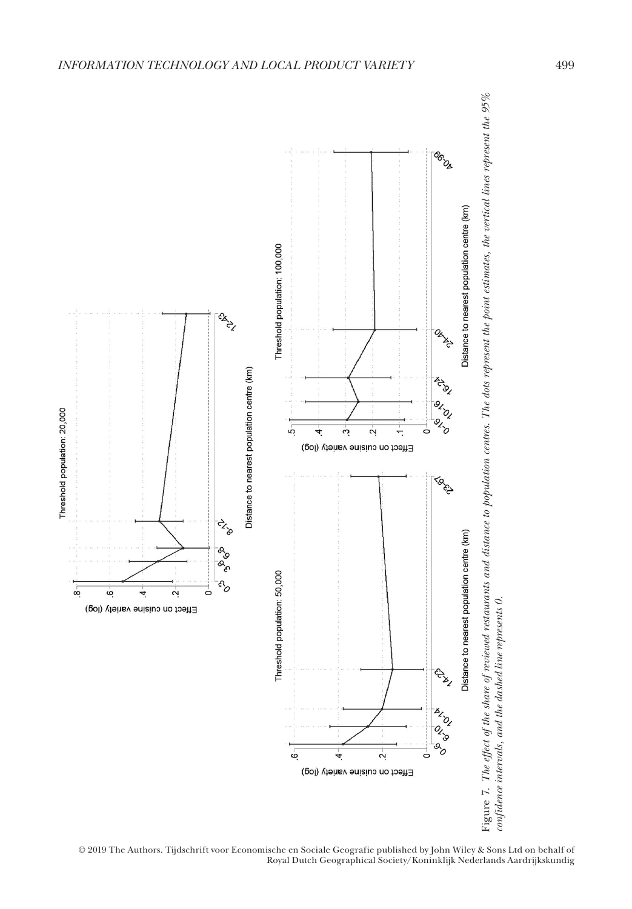



© 2019 The Authors. Tijdschrift voor Economische en Sociale Geografie published by John Wiley & Sons Ltd on behalf of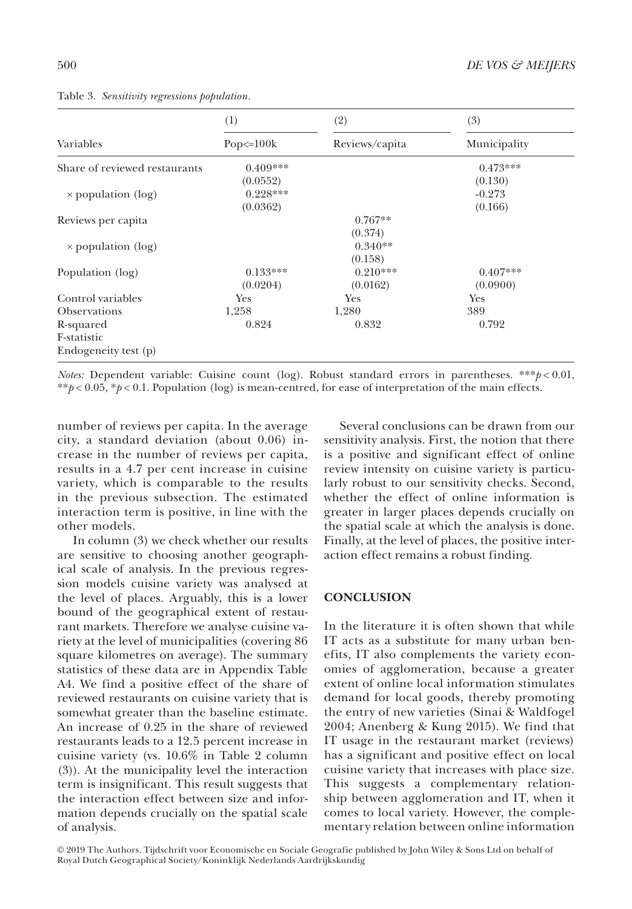|                               | (1)             | (2)            | (3)          |
|-------------------------------|-----------------|----------------|--------------|
| Variables                     | Pop $\leq 100k$ | Reviews/capita | Municipality |
| Share of reviewed restaurants | $0.409***$      |                | $0.473***$   |
|                               | (0.0552)        |                | (0.130)      |
| $\times$ population (log)     | $0.228***$      |                | $-0.273$     |
|                               | (0.0362)        |                | (0.166)      |
| Reviews per capita            |                 | $0.767**$      |              |
|                               |                 | (0.374)        |              |
| $\times$ population (log)     |                 | $0.340**$      |              |
|                               |                 | (0.158)        |              |
| Population (log)              | $0.133***$      | $0.210***$     | $0.407***$   |
|                               | (0.0204)        | (0.0162)       | (0.0900)     |
| Control variables             | Yes             | Yes            | Yes          |
| <b>Observations</b>           | 1,258           | 1,280          | 389          |
| R-squared                     | 0.824           | 0.832          | 0.792        |
| F-statistic                   |                 |                |              |
| Endogeneity test (p)          |                 |                |              |

Table 3. *Sensitivity regressions population.*

*Notes:* Dependent variable: Cuisine count (log). Robust standard errors in parentheses. \*\*\**p* < 0.01, \*\* $p < 0.05$ , \* $p < 0.1$ . Population (log) is mean-centred, for ease of interpretation of the main effects.

number of reviews per capita. In the average city, a standard deviation (about 0.06) increase in the number of reviews per capita, results in a 4.7 per cent increase in cuisine variety, which is comparable to the results in the previous subsection. The estimated interaction term is positive, in line with the other models.

In column (3) we check whether our results are sensitive to choosing another geographical scale of analysis. In the previous regression models cuisine variety was analysed at the level of places. Arguably, this is a lower bound of the geographical extent of restaurant markets. Therefore we analyse cuisine variety at the level of municipalities (covering 86 square kilometres on average). The summary statistics of these data are in Appendix Table A4. We find a positive effect of the share of reviewed restaurants on cuisine variety that is somewhat greater than the baseline estimate. An increase of 0.25 in the share of reviewed restaurants leads to a 12.5 percent increase in cuisine variety (vs. 10.6% in Table 2 column (3)). At the municipality level the interaction term is insignificant. This result suggests that the interaction effect between size and information depends crucially on the spatial scale of analysis.

Several conclusions can be drawn from our sensitivity analysis. First, the notion that there is a positive and significant effect of online review intensity on cuisine variety is particularly robust to our sensitivity checks. Second, whether the effect of online information is greater in larger places depends crucially on the spatial scale at which the analysis is done. Finally, at the level of places, the positive interaction effect remains a robust finding.

#### **CONCLUSION**

In the literature it is often shown that while IT acts as a substitute for many urban benefits*,* IT also complements the variety economies of agglomeration, because a greater extent of online local information stimulates demand for local goods, thereby promoting the entry of new varieties (Sinai & Waldfogel 2004; Anenberg & Kung 2015). We find that IT usage in the restaurant market (reviews) has a significant and positive effect on local cuisine variety that increases with place size. This suggests a complementary relationship between agglomeration and IT, when it comes to local variety. However, the complementary relation between online information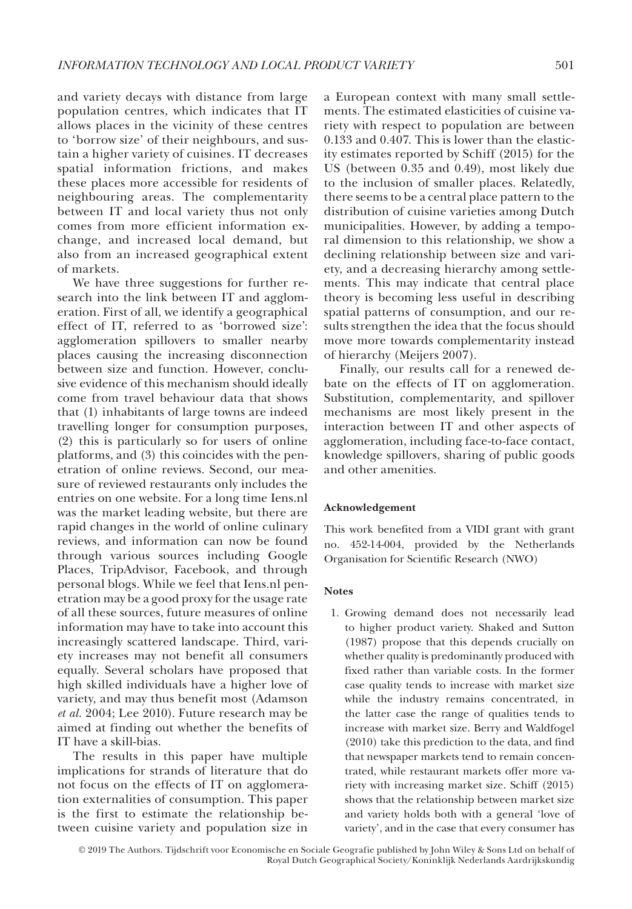and variety decays with distance from large population centres, which indicates that IT allows places in the vicinity of these centres to 'borrow size' of their neighbours, and sustain a higher variety of cuisines. IT decreases spatial information frictions, and makes these places more accessible for residents of neighbouring areas. The complementarity between IT and local variety thus not only comes from more efficient information exchange, and increased local demand, but also from an increased geographical extent of markets.

We have three suggestions for further research into the link between IT and agglomeration. First of all, we identify a geographical effect of IT, referred to as 'borrowed size': agglomeration spillovers to smaller nearby places causing the increasing disconnection between size and function. However, conclusive evidence of this mechanism should ideally come from travel behaviour data that shows that (1) inhabitants of large towns are indeed travelling longer for consumption purposes, (2) this is particularly so for users of online platforms, and (3) this coincides with the penetration of online reviews. Second, our measure of reviewed restaurants only includes the entries on one website. For a long time Iens.nl was the market leading website, but there are rapid changes in the world of online culinary reviews, and information can now be found through various sources including Google Places, TripAdvisor, Facebook, and through personal blogs. While we feel that Iens.nl penetration may be a good proxy for the usage rate of all these sources, future measures of online information may have to take into account this increasingly scattered landscape. Third, variety increases may not benefit all consumers equally. Several scholars have proposed that high skilled individuals have a higher love of variety, and may thus benefit most (Adamson *et al*. 2004; Lee 2010). Future research may be aimed at finding out whether the benefits of IT have a skill-bias.

The results in this paper have multiple implications for strands of literature that do not focus on the effects of IT on agglomeration externalities of consumption. This paper is the first to estimate the relationship between cuisine variety and population size in

a European context with many small settlements. The estimated elasticities of cuisine variety with respect to population are between 0.133 and 0.407. This is lower than the elasticity estimates reported by Schiff (2015) for the US (between 0.35 and 0.49), most likely due to the inclusion of smaller places. Relatedly, there seems to be a central place pattern to the distribution of cuisine varieties among Dutch municipalities. However, by adding a temporal dimension to this relationship, we show a declining relationship between size and variety, and a decreasing hierarchy among settlements. This may indicate that central place theory is becoming less useful in describing spatial patterns of consumption, and our results strengthen the idea that the focus should move more towards complementarity instead of hierarchy (Meijers 2007).

Finally, our results call for a renewed debate on the effects of IT on agglomeration. Substitution, complementarity, and spillover mechanisms are most likely present in the interaction between IT and other aspects of agglomeration, including face-to-face contact, knowledge spillovers, sharing of public goods and other amenities.

#### **Acknowledgement**

This work benefited from a VIDI grant with grant no. 452-14-004, provided by the Netherlands Organisation for Scientific Research (NWO)

#### **Notes**

1. Growing demand does not necessarily lead to higher product variety. Shaked and Sutton (1987) propose that this depends crucially on whether quality is predominantly produced with fixed rather than variable costs. In the former case quality tends to increase with market size while the industry remains concentrated, in the latter case the range of qualities tends to increase with market size. Berry and Waldfogel (2010) take this prediction to the data, and find that newspaper markets tend to remain concentrated, while restaurant markets offer more variety with increasing market size. Schiff (2015) shows that the relationship between market size and variety holds both with a general 'love of variety', and in the case that every consumer has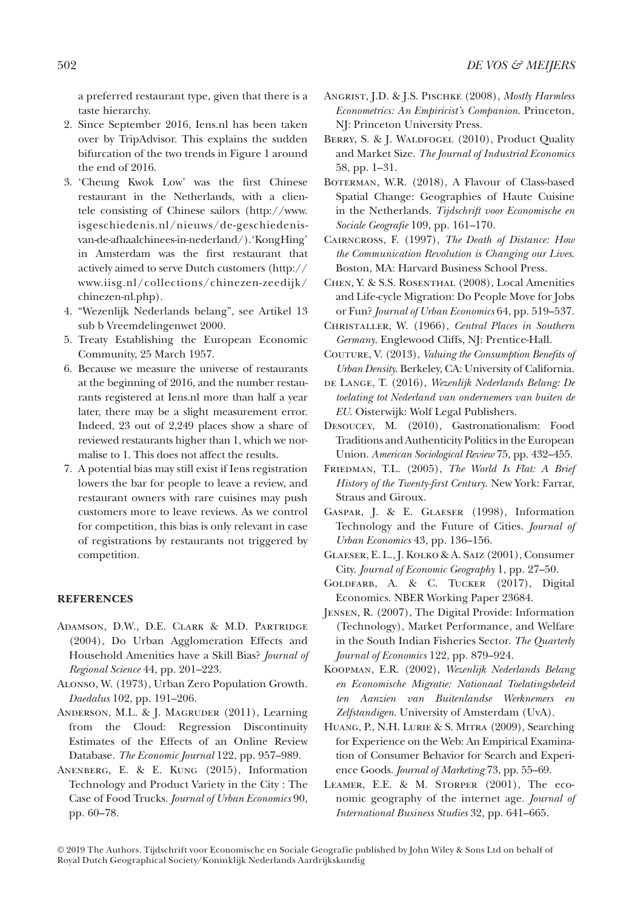a preferred restaurant type, given that there is a taste hierarchy.

- 2. Since September 2016, Iens.nl has been taken over by TripAdvisor. This explains the sudden bifurcation of the two trends in Figure 1 around the end of 2016.
- 3. 'Cheung Kwok Low' was the first Chinese restaurant in the Netherlands, with a clientele consisting of Chinese sailors [\(http://www.](http://www.isgeschiedenis.nl/nieuws/de-geschiedenis-van-de-afhaalchinees-in-nederland/) [isgeschiedenis.nl/nieuws/de-geschiedenis](http://www.isgeschiedenis.nl/nieuws/de-geschiedenis-van-de-afhaalchinees-in-nederland/)[van-de-afhaalchinees-in-nederland/](http://www.isgeschiedenis.nl/nieuws/de-geschiedenis-van-de-afhaalchinees-in-nederland/)). 'Kong Hing' in Amsterdam was the first restaurant that actively aimed to serve Dutch customers [\(http://](http://www.iisg.nl/collections/chinezen-zeedijk/chinezen-nl.php) [www.iisg.nl/collections/chinezen-zeedijk/](http://www.iisg.nl/collections/chinezen-zeedijk/chinezen-nl.php) [chinezen-nl.php](http://www.iisg.nl/collections/chinezen-zeedijk/chinezen-nl.php)).
- 4. "Wezenlijk Nederlands belang", see Artikel 13 sub b Vreemdelingenwet 2000.
- 5. Treaty Establishing the European Economic Community, 25 March 1957.
- 6. Because we measure the universe of restaurants at the beginning of 2016, and the number restaurants registered at Iens.nl more than half a year later, there may be a slight measurement error. Indeed, 23 out of 2,249 places show a share of reviewed restaurants higher than 1, which we normalise to 1. This does not affect the results.
- 7. A potential bias may still exist if Iens registration lowers the bar for people to leave a review, and restaurant owners with rare cuisines may push customers more to leave reviews. As we control for competition, this bias is only relevant in case of registrations by restaurants not triggered by competition.

#### **REFERENCES**

- Adamson, D.W., D.E. Clark & M.D. Partridge (2004), Do Urban Agglomeration Effects and Household Amenities have a Skill Bias? *Journal of Regional Science* 44, pp. 201–223.
- Alonso, W. (1973), Urban Zero Population Growth. *Daedalus* 102, pp. 191–206.
- ANDERSON, M.L. & J. MAGRUDER (2011), Learning from the Cloud: Regression Discontinuity Estimates of the Effects of an Online Review Database. *The Economic Journal* 122, pp. 957–989.
- Anenberg, E. & E. Kung (2015), Information Technology and Product Variety in the City : The Case of Food Trucks. *Journal of Urban Economics* 90, pp. 60–78.
- Angrist, J.D. & J.S. Pischke (2008), *Mostly Harmless Econometrics: An Empiricist's Companion*. Princeton, NJ: Princeton University Press.
- BERRY, S. & J. WALDFOGEL (2010), Product Quality and Market Size. *The Journal of Industrial Economics* 58, pp. 1–31.
- BOTERMAN, W.R. (2018), A Flavour of Class-based Spatial Change: Geographies of Haute Cuisine in the Netherlands. *Tijdschrift voor Economische en Sociale Geografie* 109, pp. 161–170.
- Cairncross, F. (1997), *The Death of Distance: How the Communication Revolution is Changing our Lives*. Boston, MA: Harvard Business School Press.
- Chen, Y. & S.S. Rosenthal (2008), Local Amenities and Life-cycle Migration: Do People Move for Jobs or Fun? *Journal of Urban Economics* 64, pp. 519–537.
- Christaller, W. (1966), *Central Places in Southern Germany*. Englewood Cliffs, NJ: Prentice-Hall.
- Couture, V. (2013), *Valuing the Consumption Benefits of Urban Density*. Berkeley, CA: University of California.
- de Lange, T. (2016), *Wezenlijk Nederlands Belang: De toelating tot Nederland van ondernemers van buiten de EU*. Oisterwijk: Wolf Legal Publishers.
- Desoucey, M. (2010), Gastronationalism: Food Traditions and Authenticity Politics in the European Union. *American Sociological Review* 75, pp. 432–455.
- Friedman, T.L. (2005), *The World Is Flat: A Brief History of the Twenty-first Century*. New York: Farrar, Straus and Giroux.
- Gaspar, J. & E. Glaeser (1998), Information Technology and the Future of Cities. *Journal of Urban Economics* 43, pp. 136–156.
- Glaeser, E. L., J. Kolko & A. Saiz (2001), Consumer City. *Journal of Economic Geography* 1, pp. 27–50.
- GOLDFARB, A. & C. TUCKER (2017), Digital Economics. NBER Working Paper 23684.
- Jensen, R. (2007), The Digital Provide: Information (Technology), Market Performance, and Welfare in the South Indian Fisheries Sector. *The Quarterly Journal of Economics* 122, pp. 879–924.
- Koopman, E.R. (2002), *Wezenlijk Nederlands Belang en Economische Migratie: Nationaal Toelatingsbeleid ten Aanzien van Buitenlandse Werknemers en Zelfstandigen*. University of Amsterdam (UvA).
- Huang, P., N.H. Lurie & S. Mitra (2009), Searching for Experience on the Web: An Empirical Examination of Consumer Behavior for Search and Experience Goods. *Journal of Marketing* 73, pp. 55–69.
- Leamer, E.E. & M. Storper (2001), The economic geography of the internet age. *Journal of International Business Studies* 32, pp. 641–665.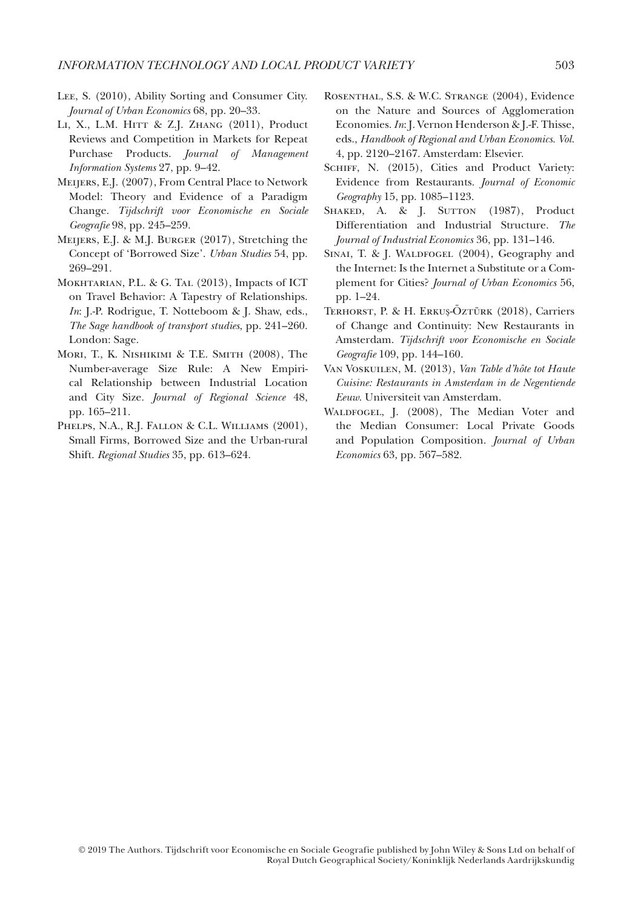- Lee, S. (2010), Ability Sorting and Consumer City. *Journal of Urban Economics* 68, pp. 20–33.
- Li, X., L.M. Hitt & Z.J. Zhang (2011), Product Reviews and Competition in Markets for Repeat Purchase Products. *Journal of Management Information Systems* 27, pp. 9–42.
- Meijers, E.J. (2007), From Central Place to Network Model: Theory and Evidence of a Paradigm Change. *Tijdschrift voor Economische en Sociale Geografie* 98, pp. 245–259.
- Meijers, E.J. & M.J. Burger (2017), Stretching the Concept of 'Borrowed Size'. *Urban Studies* 54, pp. 269–291.
- Mokhtarian, P.L. & G. Tal (2013), Impacts of ICT on Travel Behavior: A Tapestry of Relationships. *In*: J.-P. Rodrigue, T. Notteboom & J. Shaw, eds., *The Sage handbook of transport studies*, pp. 241–260. London: Sage.
- Mori, T., K. Nishikimi & T.E. Smith (2008), The Number-average Size Rule: A New Empirical Relationship between Industrial Location and City Size. *Journal of Regional Science* 48, pp. 165–211.
- PHELPS, N.A., R.J. FALLON & C.L. WILLIAMS (2001), Small Firms, Borrowed Size and the Urban-rural Shift. *Regional Studies* 35, pp. 613–624.
- Rosenthal, S.S. & W.C. Strange (2004), Evidence on the Nature and Sources of Agglomeration Economies. *In*: J. Vernon Henderson & J.-F. Thisse, eds., *Handbook of Regional and Urban Economics*. *Vol.* 4, pp. 2120–2167. Amsterdam: Elsevier.
- SCHIFF, N. (2015), Cities and Product Variety: Evidence from Restaurants. *Journal of Economic Geography* 15, pp. 1085–1123.
- SHAKED, A. & J. SUTTON (1987), Product Differentiation and Industrial Structure. *The Journal of Industrial Economics* 36, pp. 131–146.
- SINAI, T. & J. WALDFOGEL (2004), Geography and the Internet: Is the Internet a Substitute or a Complement for Cities? *Journal of Urban Economics* 56, pp. 1–24.
- TERHORST, P. & H. ERKUŞ-ÖZTÜRK (2018), Carriers of Change and Continuity: New Restaurants in Amsterdam. *Tijdschrift voor Economische en Sociale Geografie* 109, pp. 144–160.
- Van Voskuilen, M. (2013), *Van Table d'hôte tot Haute Cuisine: Restaurants in Amsterdam in de Negentiende Eeuw*. Universiteit van Amsterdam.
- WALDFOGEL, J. (2008), The Median Voter and the Median Consumer: Local Private Goods and Population Composition. *Journal of Urban Economics* 63, pp. 567–582.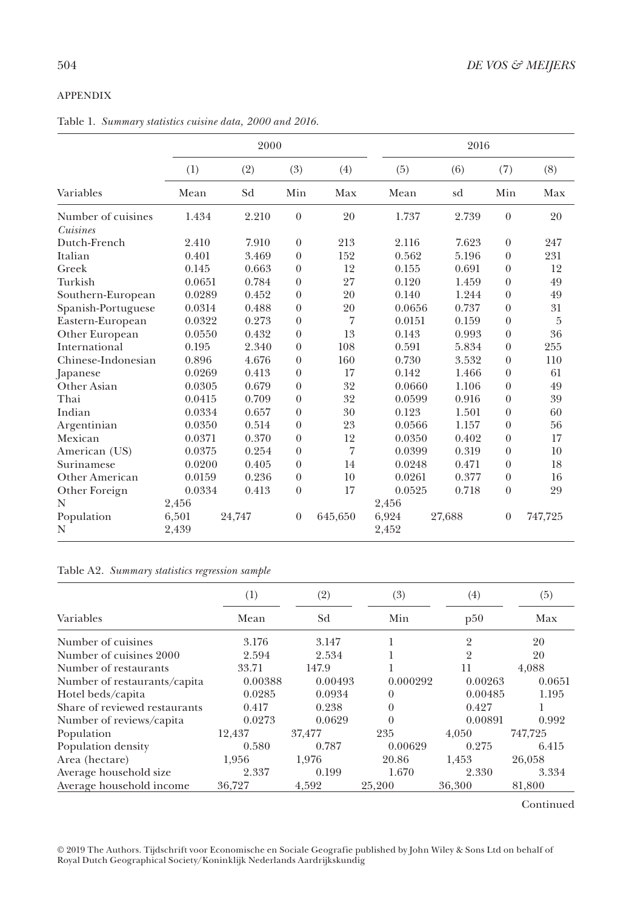# APPENDIX

|                                |                | 2000   |          |         |                | 2016   |          |         |
|--------------------------------|----------------|--------|----------|---------|----------------|--------|----------|---------|
|                                | (1)            | (2)    | (3)      | (4)     | (5)            | (6)    | (7)      | (8)     |
| Variables                      | Mean           | Sd     | Min      | Max     | Mean           | sd     | Min      | Max     |
| Number of cuisines<br>Cuisines | 1.434          | 2.210  | $\theta$ | 20      | 1.737          | 2.739  | $\theta$ | 20      |
| Dutch-French                   | 2.410          | 7.910  | $\theta$ | 213     | 2.116          | 7.623  | $\theta$ | 247     |
| Italian                        | 0.401          | 3.469  | $\Omega$ | 152     | 0.562          | 5.196  | $\Omega$ | 231     |
| Greek                          | 0.145          | 0.663  | $\theta$ | 12      | 0.155          | 0.691  | $\Omega$ | 12      |
| Turkish                        | 0.0651         | 0.784  | $\theta$ | 27      | 0.120          | 1.459  | $\Omega$ | 49      |
| Southern-European              | 0.0289         | 0.452  | $\theta$ | 20      | 0.140          | 1.244  | $\theta$ | 49      |
| Spanish-Portuguese             | 0.0314         | 0.488  | $\theta$ | 20      | 0.0656         | 0.737  | $\theta$ | 31      |
| Eastern-European               | 0.0322         | 0.273  | $\theta$ | 7       | 0.0151         | 0.159  | $\theta$ | 5       |
| Other European                 | 0.0550         | 0.432  | $\theta$ | 13      | 0.143          | 0.993  | $\theta$ | 36      |
| International                  | 0.195          | 2.340  | $\theta$ | 108     | 0.591          | 5.834  | $\Omega$ | 255     |
| Chinese-Indonesian             | 0.896          | 4.676  | $\theta$ | 160     | 0.730          | 3.532  | $\theta$ | 110     |
| <i>Japanese</i>                | 0.0269         | 0.413  | $\theta$ | 17      | 0.142          | 1.466  | $\theta$ | 61      |
| Other Asian                    | 0.0305         | 0.679  | $\theta$ | 32      | 0.0660         | 1.106  | $\theta$ | 49      |
| Thai                           | 0.0415         | 0.709  | $\theta$ | 32      | 0.0599         | 0.916  | $\theta$ | 39      |
| Indian                         | 0.0334         | 0.657  | $\theta$ | 30      | 0.123          | 1.501  | $\theta$ | 60      |
| Argentinian                    | 0.0350         | 0.514  | $\theta$ | 23      | 0.0566         | 1.157  | $\theta$ | 56      |
| Mexican                        | 0.0371         | 0.370  | $\theta$ | 12      | 0.0350         | 0.402  | $\theta$ | 17      |
| American (US)                  | 0.0375         | 0.254  | $\theta$ | 7       | 0.0399         | 0.319  | $\theta$ | 10      |
| Surinamese                     | 0.0200         | 0.405  | $\theta$ | 14      | 0.0248         | 0.471  | $\theta$ | 18      |
| Other American                 | 0.0159         | 0.236  | $\theta$ | 10      | 0.0261         | 0.377  | $\theta$ | 16      |
| Other Foreign                  | 0.0334         | 0.413  | $\theta$ | 17      | 0.0525         | 0.718  | $\theta$ | 29      |
| N                              | 2,456          |        |          |         | 2,456          |        |          |         |
| Population<br>N                | 6,501<br>2,439 | 24,747 | $\theta$ | 645,650 | 6,924<br>2,452 | 27,688 | $\theta$ | 747,725 |

Table 1. *Summary statistics cuisine data, 2000 and 2016.*

# Table A2. *Summary statistics regression sample*

|                               | (1)     | (2)     | (3)      | $\left( 4\right)$ | (5)     |
|-------------------------------|---------|---------|----------|-------------------|---------|
| Variables                     | Mean    | Sd      | Min      | p50               | Max     |
| Number of cuisines            | 3.176   | 3.147   |          | $\overline{2}$    | 20      |
| Number of cuisines 2000       | 2.594   | 2.534   |          | $\overline{2}$    | 20      |
| Number of restaurants         | 33.71   | 147.9   |          | 11                | 4,088   |
| Number of restaurants/capita  | 0.00388 | 0.00493 | 0.000292 | 0.00263           | 0.0651  |
| Hotel beds/capita             | 0.0285  | 0.0934  | 0        | 0.00485           | 1.195   |
| Share of reviewed restaurants | 0.417   | 0.238   | $\theta$ | 0.427             | 1       |
| Number of reviews/capita      | 0.0273  | 0.0629  | $\Omega$ | 0.00891           | 0.992   |
| Population                    | 12.437  | 37,477  | 235      | 4,050             | 747.725 |
| Population density            | 0.580   | 0.787   | 0.00629  | 0.275             | 6.415   |
| Area (hectare)                | 1,956   | 1,976   | 20.86    | 1.453             | 26,058  |
| Average household size        | 2.337   | 0.199   | 1.670    | 2.330             | 3.334   |
| Average household income      | 36,727  | 4,592   | 25,200   | 36,300            | 81,800  |

Continued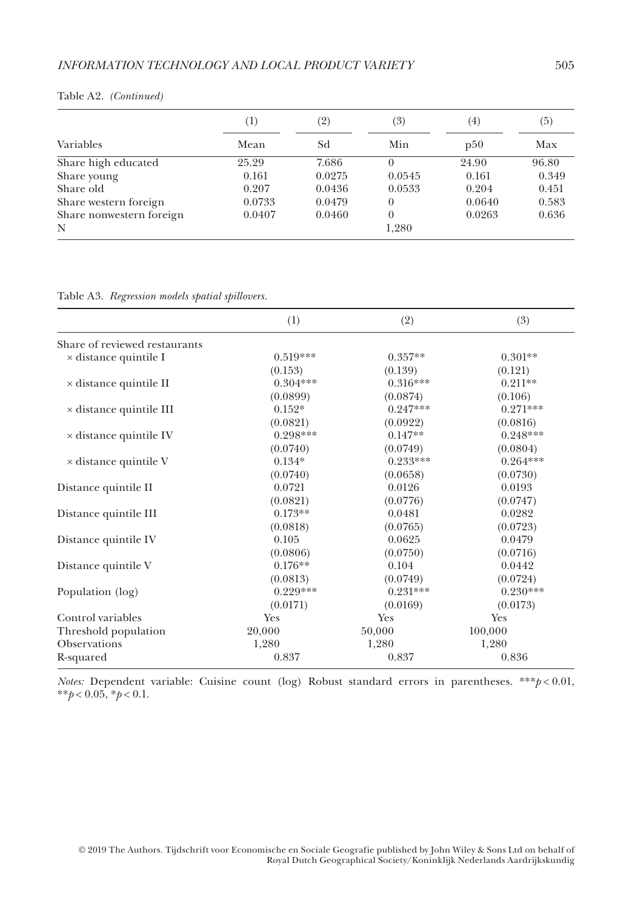|                          | $^{(1)}$ | (2)    | (3)      | (4)    | (5)   |
|--------------------------|----------|--------|----------|--------|-------|
| Variables                | Mean     | Sd     | Min      | p50    | Max   |
| Share high educated      | 25.29    | 7.686  | $\theta$ | 24.90  | 96.80 |
| Share young              | 0.161    | 0.0275 | 0.0545   | 0.161  | 0.349 |
| Share old                | 0.207    | 0.0436 | 0.0533   | 0.204  | 0.451 |
| Share western foreign    | 0.0733   | 0.0479 | $\theta$ | 0.0640 | 0.583 |
| Share nonwestern foreign | 0.0407   | 0.0460 | $\theta$ | 0.0263 | 0.636 |
| N                        |          |        | 1,280    |        |       |

# Table A2. *(Continued)*

Table A3. *Regression models spatial spillovers.*

|                                | (1)        | (2)        | (3)        |
|--------------------------------|------------|------------|------------|
| Share of reviewed restaurants  |            |            |            |
| × distance quintile I          | $0.519***$ | $0.357**$  | $0.301**$  |
|                                | (0.153)    | (0.139)    | (0.121)    |
| $\times$ distance quintile II  | $0.304***$ | $0.316***$ | $0.211**$  |
|                                | (0.0899)   | (0.0874)   | (0.106)    |
| $\times$ distance quintile III | $0.152*$   | $0.247***$ | $0.271***$ |
|                                | (0.0821)   | (0.0922)   | (0.0816)   |
| $\times$ distance quintile IV  | $0.298***$ | $0.147**$  | $0.248***$ |
|                                | (0.0740)   | (0.0749)   | (0.0804)   |
| $\times$ distance quintile V   | $0.134*$   | $0.233***$ | $0.264***$ |
|                                | (0.0740)   | (0.0658)   | (0.0730)   |
| Distance quintile II           | 0.0721     | 0.0126     | 0.0193     |
|                                | (0.0821)   | (0.0776)   | (0.0747)   |
| Distance quintile III          | $0.173**$  | 0.0481     | 0.0282     |
|                                | (0.0818)   | (0.0765)   | (0.0723)   |
| Distance quintile IV           | 0.105      | 0.0625     | 0.0479     |
|                                | (0.0806)   | (0.0750)   | (0.0716)   |
| Distance quintile V            | $0.176**$  | 0.104      | 0.0442     |
|                                | (0.0813)   | (0.0749)   | (0.0724)   |
| Population (log)               | $0.229***$ | $0.231***$ | $0.230***$ |
|                                | (0.0171)   | (0.0169)   | (0.0173)   |
| Control variables              | Yes        | Yes        | Yes        |
| Threshold population           | 20,000     | 50,000     | 100,000    |
| <b>Observations</b>            | 1,280      | 1,280      | 1,280      |
| R-squared                      | 0.837      | 0.837      | 0.836      |

*Notes:* Dependent variable: Cuisine count (log) Robust standard errors in parentheses. \*\*\**p* < 0.01, \*\**p* < 0.05, \**p* < 0.1.